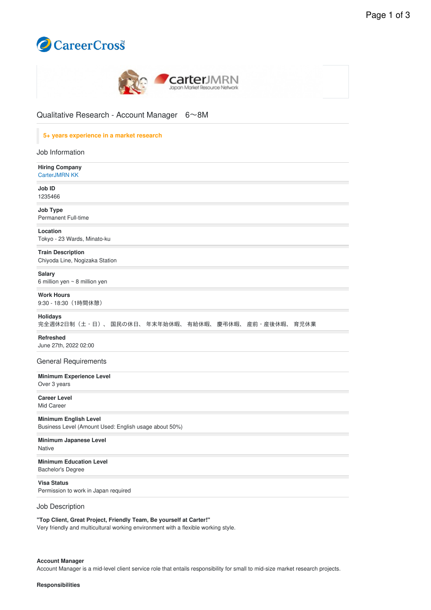



Qualitative Research - Account Manager 6〜8M

# **5+ years experience in a market research**

| Job Information                                                                       |
|---------------------------------------------------------------------------------------|
| <b>Hiring Company</b><br>CarterJMRN KK                                                |
| Job ID<br>1235466                                                                     |
| Job Type<br><b>Permanent Full-time</b>                                                |
| Location<br>Tokyo - 23 Wards, Minato-ku                                               |
| <b>Train Description</b><br>Chiyoda Line, Nogizaka Station                            |
| <b>Salary</b><br>6 million yen $\sim$ 8 million yen                                   |
| <b>Work Hours</b><br>9:30 - 18:30 (1時間休憩)                                             |
| <b>Holidays</b><br>完全週休2日制(土・日)、 国民の休日、 年末年始休暇、 有給休暇、 慶弔休暇、 産前・産後休暇、<br>育児休業          |
| Refreshed<br>June 27th, 2022 02:00                                                    |
| <b>General Requirements</b>                                                           |
| <b>Minimum Experience Level</b><br>Over 3 years                                       |
| <b>Career Level</b><br>Mid Career                                                     |
| <b>Minimum English Level</b><br>Business Level (Amount Used: English usage about 50%) |
| Minimum Japanese Level<br><b>Native</b>                                               |
| <b>Minimum Education Level</b><br><b>Bachelor's Degree</b>                            |
| <b>Visa Status</b><br>Permission to work in Japan required                            |
| Job Description                                                                       |

**"Top Client, Great Project, Friendly Team, Be yourself at Carter!"**

Very friendly and multicultural working environment with a flexible working style.

#### **Account Manager**

Account Manager is a mid-level client service role that entails responsibility for small to mid-size market research projects.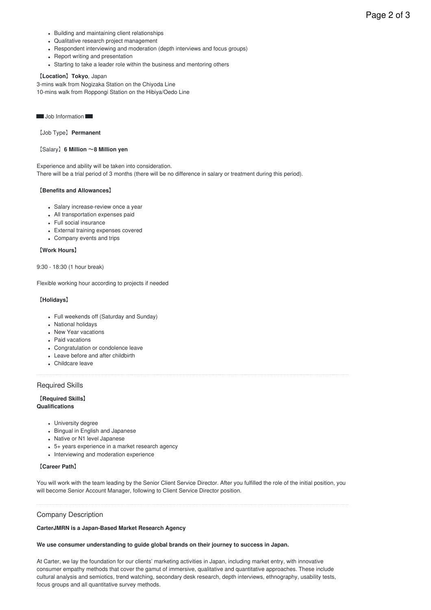- Building and maintaining client relationships
- Qualitative research project management
- Respondent interviewing and moderation (depth interviews and focus groups)
- Report writing and presentation
- Starting to take a leader role within the business and mentoring others

#### 【**Location**】**Tokyo**, Japan

3-mins walk from Nogizaka Station on the Chiyoda Line 10-mins walk from Roppongi Station on the Hibiya/Oedo Line

■ Job Information

【Job Type】**Permanent**

## 【Salary】**6 Million** 〜**8 Million yen**

Experience and ability will be taken into consideration.

There will be a trial period of 3 months (there will be no difference in salary or treatment during this period).

#### 【**Benefits and Allowances**】

- Salary increase-review once a year
- All transportation expenses paid
- Full social insurance
- External training expenses covered
- Company events and trips

## 【**Work Hours**】

#### 9:30 - 18:30 (1 hour break)

Flexible working hour according to projects if needed

## 【**Holidays**】

- Full weekends off (Saturday and Sunday)
- National holidays
- New Year vacations
- Paid vacations
- Congratulation or condolence leave
- Leave before and after childbirth
- Childcare leave

## Required Skills

#### 【**Required Skills**】 **Qualifications**

- University degree
- Bingual in English and Japanese
- Native or N1 level Japanese
- 5+ years experience in a market research agency
- Interviewing and moderation experience

## 【**Career Path**】

You will work with the team leading by the Senior Client Service Director. After you fulfilled the role of the initial position, you will become Senior Account Manager, following to Client Service Director position.

## Company Description

## **CarterJMRN is a Japan-Based Market Research Agency**

#### **We use consumer understanding to guide global brands on their journey to success in Japan.**

At Carter, we lay the foundation for our clients' marketing activities in Japan, including market entry, with innovative consumer empathy methods that cover the gamut of immersive, qualitative and quantitative approaches. These include cultural analysis and semiotics, trend watching, secondary desk research, depth interviews, ethnography, usability tests, focus groups and all quantitative survey methods.